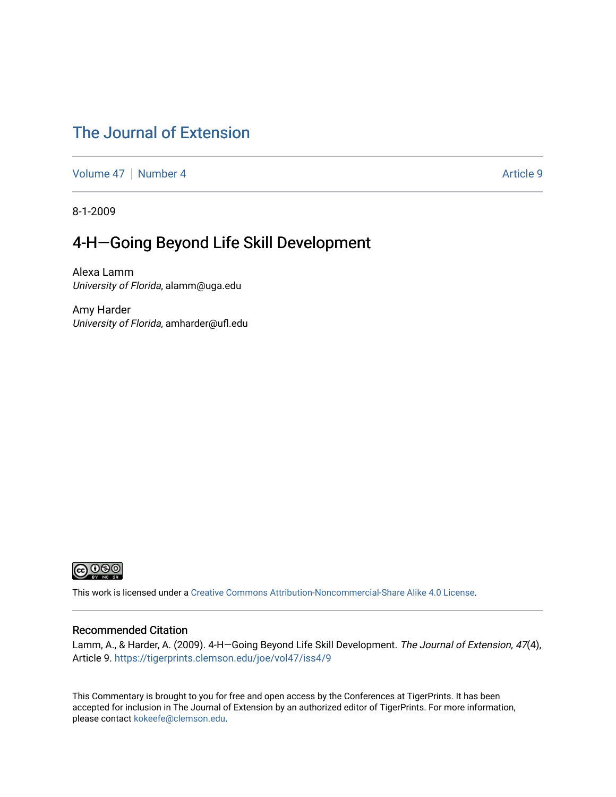### [The Journal of Extension](https://tigerprints.clemson.edu/joe)

[Volume 47](https://tigerprints.clemson.edu/joe/vol47) | [Number 4](https://tigerprints.clemson.edu/joe/vol47/iss4) Article 9

8-1-2009

### 4-H-Going Beyond Life Skill Development

Alexa Lamm University of Florida, alamm@uga.edu

Amy Harder University of Florida, amharder@ufl.edu



This work is licensed under a [Creative Commons Attribution-Noncommercial-Share Alike 4.0 License.](https://creativecommons.org/licenses/by-nc-sa/4.0/)

#### Recommended Citation

Lamm, A., & Harder, A. (2009). 4-H—Going Beyond Life Skill Development. The Journal of Extension, 47(4), Article 9. <https://tigerprints.clemson.edu/joe/vol47/iss4/9>

This Commentary is brought to you for free and open access by the Conferences at TigerPrints. It has been accepted for inclusion in The Journal of Extension by an authorized editor of TigerPrints. For more information, please contact [kokeefe@clemson.edu](mailto:kokeefe@clemson.edu).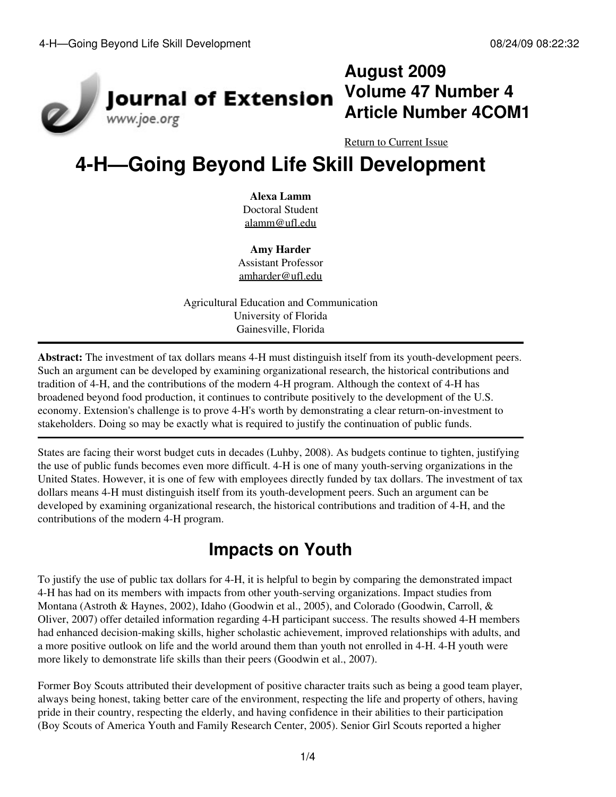

## **August 2009 Volume 47 Number 4 Article Number 4COM1**

[Return to Current Issue](http://www.joe.org:80/joe/2009august/)

# **4-H—Going Beyond Life Skill Development**

#### **Alexa Lamm**

Doctoral Student [alamm@ufl.edu](mailto:alamm@ufl.edu)

**Amy Harder** Assistant Professor [amharder@ufl.edu](mailto:amharder@ufl.edu)

Agricultural Education and Communication University of Florida Gainesville, Florida

**Abstract:** The investment of tax dollars means 4-H must distinguish itself from its youth-development peers. Such an argument can be developed by examining organizational research, the historical contributions and tradition of 4-H, and the contributions of the modern 4-H program. Although the context of 4-H has broadened beyond food production, it continues to contribute positively to the development of the U.S. economy. Extension's challenge is to prove 4-H's worth by demonstrating a clear return-on-investment to stakeholders. Doing so may be exactly what is required to justify the continuation of public funds.

States are facing their worst budget cuts in decades (Luhby, 2008). As budgets continue to tighten, justifying the use of public funds becomes even more difficult. 4-H is one of many youth-serving organizations in the United States. However, it is one of few with employees directly funded by tax dollars. The investment of tax dollars means 4-H must distinguish itself from its youth-development peers. Such an argument can be developed by examining organizational research, the historical contributions and tradition of 4-H, and the contributions of the modern 4-H program.

## **Impacts on Youth**

To justify the use of public tax dollars for 4-H, it is helpful to begin by comparing the demonstrated impact 4-H has had on its members with impacts from other youth-serving organizations. Impact studies from Montana (Astroth & Haynes, 2002), Idaho (Goodwin et al., 2005), and Colorado (Goodwin, Carroll, & Oliver, 2007) offer detailed information regarding 4-H participant success. The results showed 4-H members had enhanced decision-making skills, higher scholastic achievement, improved relationships with adults, and a more positive outlook on life and the world around them than youth not enrolled in 4-H. 4-H youth were more likely to demonstrate life skills than their peers (Goodwin et al., 2007).

Former Boy Scouts attributed their development of positive character traits such as being a good team player, always being honest, taking better care of the environment, respecting the life and property of others, having pride in their country, respecting the elderly, and having confidence in their abilities to their participation (Boy Scouts of America Youth and Family Research Center, 2005). Senior Girl Scouts reported a higher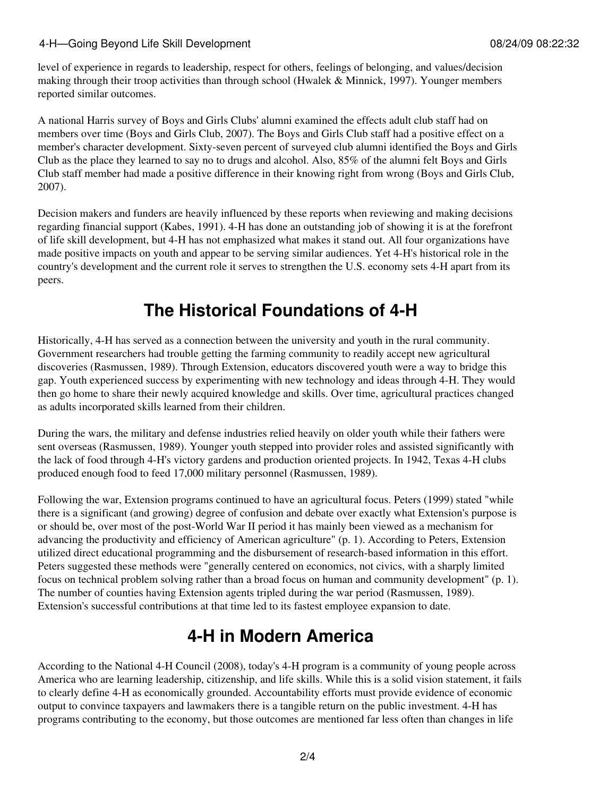#### 4-H—Going Beyond Life Skill Development **Community** 08/24/09 08:22:32

level of experience in regards to leadership, respect for others, feelings of belonging, and values/decision making through their troop activities than through school (Hwalek & Minnick, 1997). Younger members reported similar outcomes.

A national Harris survey of Boys and Girls Clubs' alumni examined the effects adult club staff had on members over time (Boys and Girls Club, 2007). The Boys and Girls Club staff had a positive effect on a member's character development. Sixty-seven percent of surveyed club alumni identified the Boys and Girls Club as the place they learned to say no to drugs and alcohol. Also, 85% of the alumni felt Boys and Girls Club staff member had made a positive difference in their knowing right from wrong (Boys and Girls Club, 2007).

Decision makers and funders are heavily influenced by these reports when reviewing and making decisions regarding financial support (Kabes, 1991). 4-H has done an outstanding job of showing it is at the forefront of life skill development, but 4-H has not emphasized what makes it stand out. All four organizations have made positive impacts on youth and appear to be serving similar audiences. Yet 4-H's historical role in the country's development and the current role it serves to strengthen the U.S. economy sets 4-H apart from its peers.

## **The Historical Foundations of 4-H**

Historically, 4-H has served as a connection between the university and youth in the rural community. Government researchers had trouble getting the farming community to readily accept new agricultural discoveries (Rasmussen, 1989). Through Extension, educators discovered youth were a way to bridge this gap. Youth experienced success by experimenting with new technology and ideas through 4-H. They would then go home to share their newly acquired knowledge and skills. Over time, agricultural practices changed as adults incorporated skills learned from their children.

During the wars, the military and defense industries relied heavily on older youth while their fathers were sent overseas (Rasmussen, 1989). Younger youth stepped into provider roles and assisted significantly with the lack of food through 4-H's victory gardens and production oriented projects. In 1942, Texas 4-H clubs produced enough food to feed 17,000 military personnel (Rasmussen, 1989).

Following the war, Extension programs continued to have an agricultural focus. Peters (1999) stated "while there is a significant (and growing) degree of confusion and debate over exactly what Extension's purpose is or should be, over most of the post-World War II period it has mainly been viewed as a mechanism for advancing the productivity and efficiency of American agriculture" (p. 1). According to Peters, Extension utilized direct educational programming and the disbursement of research-based information in this effort. Peters suggested these methods were "generally centered on economics, not civics, with a sharply limited focus on technical problem solving rather than a broad focus on human and community development" (p. 1). The number of counties having Extension agents tripled during the war period (Rasmussen, 1989). Extension's successful contributions at that time led to its fastest employee expansion to date.

## **4-H in Modern America**

According to the National 4-H Council (2008), today's 4-H program is a community of young people across America who are learning leadership, citizenship, and life skills. While this is a solid vision statement, it fails to clearly define 4-H as economically grounded. Accountability efforts must provide evidence of economic output to convince taxpayers and lawmakers there is a tangible return on the public investment. 4-H has programs contributing to the economy, but those outcomes are mentioned far less often than changes in life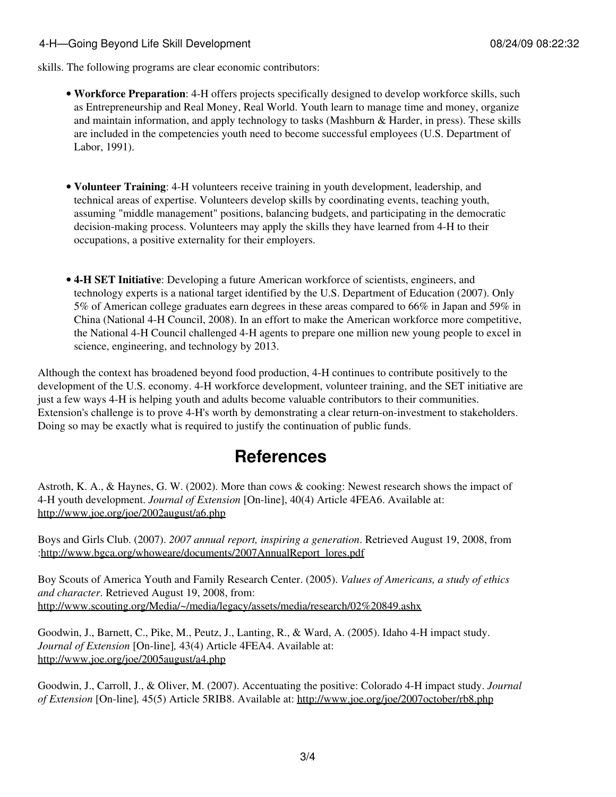#### 4-H—Going Beyond Life Skill Development 08/24/09 08:22:32

skills. The following programs are clear economic contributors:

- **Workforce Preparation**: 4-H offers projects specifically designed to develop workforce skills, such as Entrepreneurship and Real Money, Real World. Youth learn to manage time and money, organize and maintain information, and apply technology to tasks (Mashburn & Harder, in press). These skills are included in the competencies youth need to become successful employees (U.S. Department of Labor, 1991).
- **Volunteer Training**: 4-H volunteers receive training in youth development, leadership, and technical areas of expertise. Volunteers develop skills by coordinating events, teaching youth, assuming "middle management" positions, balancing budgets, and participating in the democratic decision-making process. Volunteers may apply the skills they have learned from 4-H to their occupations, a positive externality for their employers.
- **4-H SET Initiative**: Developing a future American workforce of scientists, engineers, and technology experts is a national target identified by the U.S. Department of Education (2007). Only 5% of American college graduates earn degrees in these areas compared to 66% in Japan and 59% in China (National 4-H Council, 2008). In an effort to make the American workforce more competitive, the National 4-H Council challenged 4-H agents to prepare one million new young people to excel in science, engineering, and technology by 2013.

Although the context has broadened beyond food production, 4-H continues to contribute positively to the development of the U.S. economy. 4-H workforce development, volunteer training, and the SET initiative are just a few ways 4-H is helping youth and adults become valuable contributors to their communities. Extension's challenge is to prove 4-H's worth by demonstrating a clear return-on-investment to stakeholders. Doing so may be exactly what is required to justify the continuation of public funds.

### **References**

Astroth, K. A., & Haynes, G. W. (2002). More than cows & cooking: Newest research shows the impact of 4-H youth development. *Journal of Extension* [On-line], 40(4) Article 4FEA6. Available at: <http://www.joe.org/joe/2002august/a6.php>

Boys and Girls Club. (2007). *2007 annual report, inspiring a generation*. Retrieved August 19, 2008, from :[http://www.bgca.org/whoweare/documents/2007AnnualReport\\_lores.pdf](http://www.bgca.org/whoweare/documents/2007AnnualReport_lores.pdf)

Boy Scouts of America Youth and Family Research Center. (2005). *Values of Americans, a study of ethics and character*. Retrieved August 19, 2008, from: <http://www.scouting.org/Media/~/media/legacy/assets/media/research/02%20849.ashx>

Goodwin, J., Barnett, C., Pike, M., Peutz, J., Lanting, R., & Ward, A. (2005). Idaho 4-H impact study. *Journal of Extension* [On-line]*,* 43(4) Article 4FEA4. Available at: <http://www.joe.org/joe/2005august/a4.php>

Goodwin, J., Carroll, J., & Oliver, M. (2007). Accentuating the positive: Colorado 4-H impact study. *Journal of Extension* [On-line]*,* 45(5) Article 5RIB8. Available at:<http://www.joe.org/joe/2007october/rb8.php>